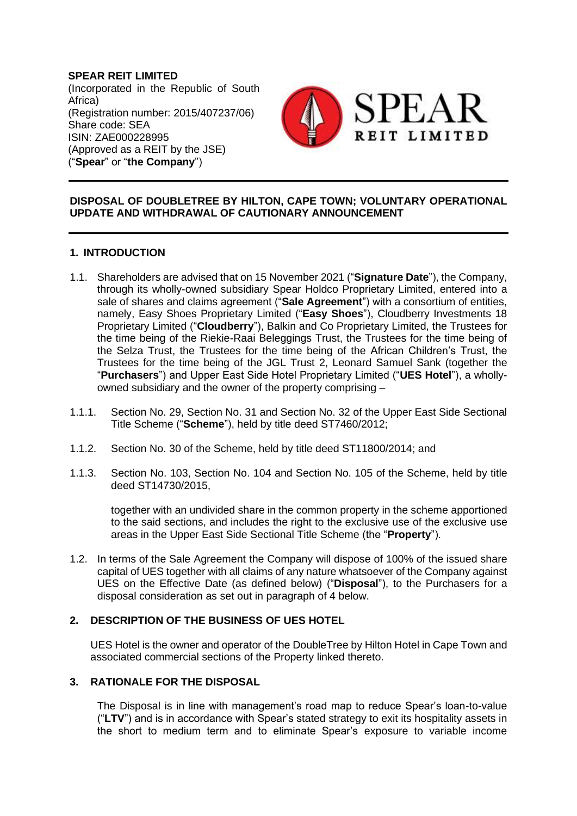**SPEAR REIT LIMITED** (Incorporated in the Republic of South Africa) (Registration number: 2015/407237/06) Share code: SEA ISIN: ZAE000228995 (Approved as a REIT by the JSE) ("**Spear**" or "**the Company**")



# **DISPOSAL OF DOUBLETREE BY HILTON, CAPE TOWN; VOLUNTARY OPERATIONAL UPDATE AND WITHDRAWAL OF CAUTIONARY ANNOUNCEMENT**

# **1. INTRODUCTION**

- <span id="page-0-0"></span>1.1. Shareholders are advised that on 15 November 2021 ("**Signature Date**"), the Company, through its wholly-owned subsidiary Spear Holdco Proprietary Limited, entered into a sale of shares and claims agreement ("**Sale Agreement**") with a consortium of entities, namely, Easy Shoes Proprietary Limited ("**Easy Shoes**"), Cloudberry Investments 18 Proprietary Limited ("**Cloudberry**"), Balkin and Co Proprietary Limited, the Trustees for the time being of the Riekie-Raai Beleggings Trust, the Trustees for the time being of the Selza Trust, the Trustees for the time being of the African Children's Trust, the Trustees for the time being of the JGL Trust 2, Leonard Samuel Sank (together the "**Purchasers**") and Upper East Side Hotel Proprietary Limited ("**UES Hotel**"), a whollyowned subsidiary and the owner of the property comprising –
- 1.1.1. Section No. 29, Section No. 31 and Section No. 32 of the Upper East Side Sectional Title Scheme ("**Scheme**"), held by title deed ST7460/2012;
- 1.1.2. Section No. 30 of the Scheme, held by title deed ST11800/2014; and
- 1.1.3. Section No. 103, Section No. 104 and Section No. 105 of the Scheme, held by title deed ST14730/2015,

together with an undivided share in the common property in the scheme apportioned to the said sections, and includes the right to the exclusive use of the exclusive use areas in the Upper East Side Sectional Title Scheme (the "**Property**").

1.2. In terms of the Sale Agreement the Company will dispose of 100% of the issued share capital of UES together with all claims of any nature whatsoever of the Company against UES on the Effective Date (as defined below) ("**Disposal**"), to the Purchasers for a disposal consideration as set out in paragraph of [4](#page-1-0) below.

# **2. DESCRIPTION OF THE BUSINESS OF UES HOTEL**

UES Hotel is the owner and operator of the DoubleTree by Hilton Hotel in Cape Town and associated commercial sections of the Property linked thereto.

# **3. RATIONALE FOR THE DISPOSAL**

The Disposal is in line with management's road map to reduce Spear's loan-to-value ("**LTV**") and is in accordance with Spear's stated strategy to exit its hospitality assets in the short to medium term and to eliminate Spear's exposure to variable income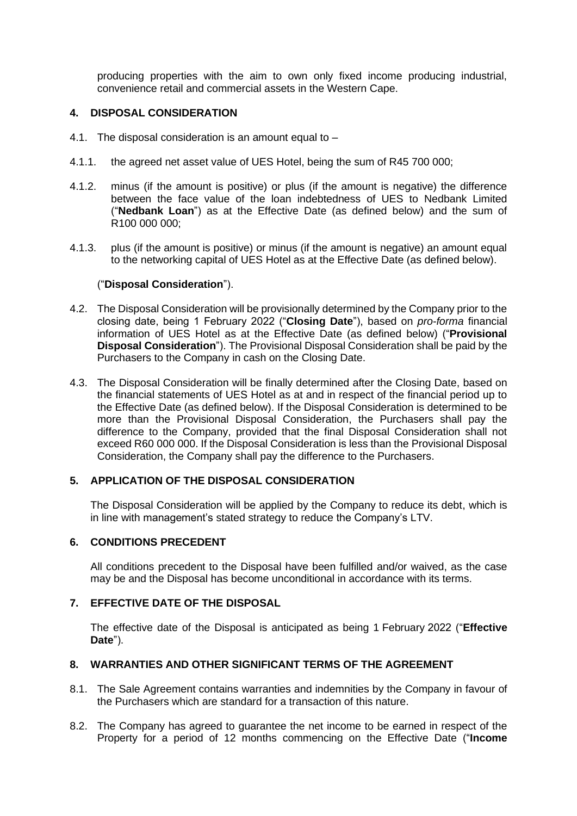producing properties with the aim to own only fixed income producing industrial, convenience retail and commercial assets in the Western Cape.

### <span id="page-1-0"></span>**4. DISPOSAL CONSIDERATION**

- 4.1. The disposal consideration is an amount equal to –
- 4.1.1. the agreed net asset value of UES Hotel, being the sum of R45 700 000;
- 4.1.2. minus (if the amount is positive) or plus (if the amount is negative) the difference between the face value of the loan indebtedness of UES to Nedbank Limited ("**Nedbank Loan**") as at the Effective Date (as defined below) and the sum of R100 000 000;
- 4.1.3. plus (if the amount is positive) or minus (if the amount is negative) an amount equal to the networking capital of UES Hotel as at the Effective Date (as defined below).

#### ("**Disposal Consideration**").

- 4.2. The Disposal Consideration will be provisionally determined by the Company prior to the closing date, being 1 February 2022 ("**Closing Date**"), based on *pro-forma* financial information of UES Hotel as at the Effective Date (as defined below) ("**Provisional Disposal Consideration**"). The Provisional Disposal Consideration shall be paid by the Purchasers to the Company in cash on the Closing Date.
- 4.3. The Disposal Consideration will be finally determined after the Closing Date, based on the financial statements of UES Hotel as at and in respect of the financial period up to the Effective Date (as defined below). If the Disposal Consideration is determined to be more than the Provisional Disposal Consideration, the Purchasers shall pay the difference to the Company, provided that the final Disposal Consideration shall not exceed R60 000 000. If the Disposal Consideration is less than the Provisional Disposal Consideration, the Company shall pay the difference to the Purchasers.

#### **5. APPLICATION OF THE DISPOSAL CONSIDERATION**

The Disposal Consideration will be applied by the Company to reduce its debt, which is in line with management's stated strategy to reduce the Company's LTV.

#### **6. CONDITIONS PRECEDENT**

All conditions precedent to the Disposal have been fulfilled and/or waived, as the case may be and the Disposal has become unconditional in accordance with its terms.

# **7. EFFECTIVE DATE OF THE DISPOSAL**

The effective date of the Disposal is anticipated as being 1 February 2022 ("**Effective Date**").

#### **8. WARRANTIES AND OTHER SIGNIFICANT TERMS OF THE AGREEMENT**

- 8.1. The Sale Agreement contains warranties and indemnities by the Company in favour of the Purchasers which are standard for a transaction of this nature.
- 8.2. The Company has agreed to guarantee the net income to be earned in respect of the Property for a period of 12 months commencing on the Effective Date ("**Income**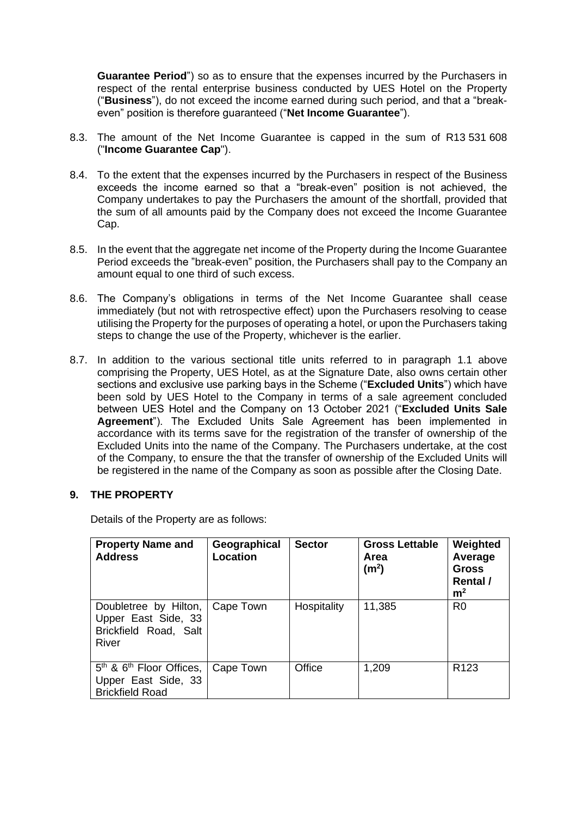**Guarantee Period**") so as to ensure that the expenses incurred by the Purchasers in respect of the rental enterprise business conducted by UES Hotel on the Property ("**Business**"), do not exceed the income earned during such period, and that a "breakeven" position is therefore guaranteed ("**Net Income Guarantee**").

- 8.3. The amount of the Net Income Guarantee is capped in the sum of R13 531 608 ("**Income Guarantee Cap**").
- 8.4. To the extent that the expenses incurred by the Purchasers in respect of the Business exceeds the income earned so that a "break-even" position is not achieved, the Company undertakes to pay the Purchasers the amount of the shortfall, provided that the sum of all amounts paid by the Company does not exceed the Income Guarantee Cap.
- 8.5. In the event that the aggregate net income of the Property during the Income Guarantee Period exceeds the "break-even" position, the Purchasers shall pay to the Company an amount equal to one third of such excess.
- 8.6. The Company's obligations in terms of the Net Income Guarantee shall cease immediately (but not with retrospective effect) upon the Purchasers resolving to cease utilising the Property for the purposes of operating a hotel, or upon the Purchasers taking steps to change the use of the Property, whichever is the earlier.
- 8.7. In addition to the various sectional title units referred to in paragraph [1.1](#page-0-0) above comprising the Property, UES Hotel, as at the Signature Date, also owns certain other sections and exclusive use parking bays in the Scheme ("**Excluded Units**") which have been sold by UES Hotel to the Company in terms of a sale agreement concluded between UES Hotel and the Company on 13 October 2021 ("**Excluded Units Sale Agreement**"). The Excluded Units Sale Agreement has been implemented in accordance with its terms save for the registration of the transfer of ownership of the Excluded Units into the name of the Company. The Purchasers undertake, at the cost of the Company, to ensure the that the transfer of ownership of the Excluded Units will be registered in the name of the Company as soon as possible after the Closing Date.

# **9. THE PROPERTY**

Details of the Property are as follows:

| <b>Property Name and</b><br><b>Address</b>                                       | Geographical<br>Location | <b>Sector</b> | <b>Gross Lettable</b><br>Area<br>(m <sup>2</sup> ) | Weighted<br>Average<br><b>Gross</b><br>Rental /<br>m <sup>2</sup> |
|----------------------------------------------------------------------------------|--------------------------|---------------|----------------------------------------------------|-------------------------------------------------------------------|
| Doubletree by Hilton,  <br>Upper East Side, 33<br>Brickfield Road, Salt<br>River | Cape Town                | Hospitality   | 11,385                                             | R <sub>0</sub>                                                    |
| $5th$ & $6th$ Floor Offices,<br>Upper East Side, 33<br><b>Brickfield Road</b>    | Cape Town                | Office        | 1,209                                              | R <sub>123</sub>                                                  |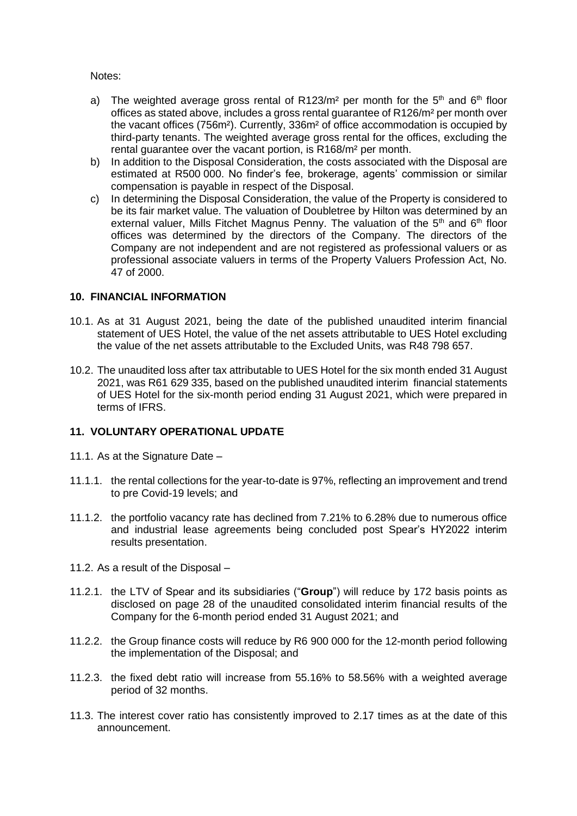Notes:

- a) The weighted average gross rental of R123/m<sup>2</sup> per month for the  $5<sup>th</sup>$  and  $6<sup>th</sup>$  floor offices as stated above, includes a gross rental guarantee of R126/m² per month over the vacant offices (756m²). Currently, 336m² of office accommodation is occupied by third-party tenants. The weighted average gross rental for the offices, excluding the rental guarantee over the vacant portion, is R168/m² per month.
- b) In addition to the Disposal Consideration, the costs associated with the Disposal are estimated at R500 000. No finder's fee, brokerage, agents' commission or similar compensation is payable in respect of the Disposal.
- c) In determining the Disposal Consideration, the value of the Property is considered to be its fair market value. The valuation of Doubletree by Hilton was determined by an external valuer, Mills Fitchet Magnus Penny. The valuation of the  $5<sup>th</sup>$  and  $6<sup>th</sup>$  floor offices was determined by the directors of the Company. The directors of the Company are not independent and are not registered as professional valuers or as professional associate valuers in terms of the Property Valuers Profession Act, No. 47 of 2000.

# **10. FINANCIAL INFORMATION**

- 10.1. As at 31 August 2021, being the date of the published unaudited interim financial statement of UES Hotel, the value of the net assets attributable to UES Hotel excluding the value of the net assets attributable to the Excluded Units, was R48 798 657.
- 10.2. The unaudited loss after tax attributable to UES Hotel for the six month ended 31 August 2021, was R61 629 335, based on the published unaudited interim financial statements of UES Hotel for the six-month period ending 31 August 2021, which were prepared in terms of IFRS.

# **11. VOLUNTARY OPERATIONAL UPDATE**

- 11.1. As at the Signature Date –
- 11.1.1. the rental collections for the year-to-date is 97%, reflecting an improvement and trend to pre Covid-19 levels; and
- 11.1.2. the portfolio vacancy rate has declined from 7.21% to 6.28% due to numerous office and industrial lease agreements being concluded post Spear's HY2022 interim results presentation.
- 11.2. As a result of the Disposal –
- 11.2.1. the LTV of Spear and its subsidiaries ("**Group**") will reduce by 172 basis points as disclosed on page 28 of the unaudited consolidated interim financial results of the Company for the 6-month period ended 31 August 2021; and
- 11.2.2. the Group finance costs will reduce by R6 900 000 for the 12-month period following the implementation of the Disposal; and
- 11.2.3. the fixed debt ratio will increase from 55.16% to 58.56% with a weighted average period of 32 months.
- 11.3. The interest cover ratio has consistently improved to 2.17 times as at the date of this announcement.